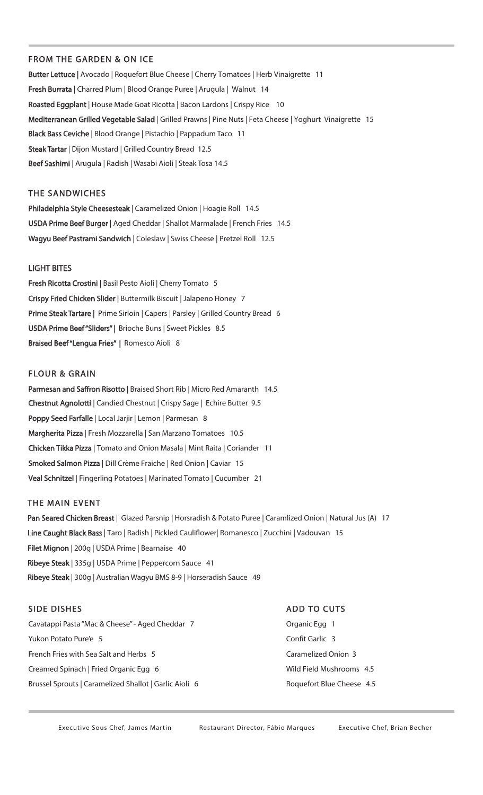### FROM THE GARDEN & ON ICE

Butter Lettuce | Avocado | Roquefort Blue Cheese | Cherry Tomatoes | Herb Vinaigrette 11 Fresh Burrata | Charred Plum | Blood Orange Puree | Arugula | Walnut 14 Roasted Eggplant | House Made Goat Ricotta | Bacon Lardons | Crispy Rice 10 Mediterranean Grilled Vegetable Salad | Grilled Prawns | Pine Nuts | Feta Cheese | Yoghurt Vinaigrette 15 Black Bass Ceviche | Blood Orange | Pistachio | Pappadum Taco 11 Steak Tartar | Dijon Mustard | Grilled Country Bread 12.5 Beef Sashimi | Arugula | Radish | Wasabi Aioli | Steak Tosa 14.5

### THE SANDWICHES

Philadelphia Style Cheesesteak | Caramelized Onion | Hoagie Roll 14.5 USDA Prime Beef Burger | Aged Cheddar | Shallot Marmalade | French Fries 14.5 Wagyu Beef Pastrami Sandwich | Coleslaw | Swiss Cheese | Pretzel Roll 12.5

#### LIGHT BITES

Fresh Ricotta Crostini | Basil Pesto Aioli | Cherry Tomato 5 Crispy Fried Chicken Slider | Buttermilk Biscuit | Jalapeno Honey 7 Prime Steak Tartare | Prime Sirloin | Capers | Parsley | Grilled Country Bread 6 USDA Prime Beef "Sliders" | Brioche Buns | Sweet Pickles 8.5 Braised Beef "Lengua Fries" | Romesco Aioli 8

### FLOUR & GRAIN

Parmesan and Saffron Risotto | Braised Short Rib | Micro Red Amaranth 14.5 Chestnut Agnolotti | Candied Chestnut | Crispy Sage | Echire Butter 9.5 Poppy Seed Farfalle | Local Jarjir | Lemon | Parmesan 8 Margherita Pizza | Fresh Mozzarella | San Marzano Tomatoes 10.5 Chicken Tikka Pizza | Tomato and Onion Masala | Mint Raita | Coriander 11 Smoked Salmon Pizza | Dill Crème Fraiche | Red Onion | Caviar 15 Veal Schnitzel | Fingerling Potatoes | Marinated Tomato | Cucumber 21

#### THE MAIN EVENT

Pan Seared Chicken Breast | Glazed Parsnip | Horsradish & Potato Puree | Caramlized Onion | Natural Jus (A) 17 Line Caught Black Bass | Taro | Radish | Pickled Cauliflower| Romanesco | Zucchini | Vadouvan 15 Filet Mignon | 200g | USDA Prime | Bearnaise 40 Ribeye Steak | 335g | USDA Prime | Peppercorn Sauce 41 Ribeye Steak | 300g | Australian Wagyu BMS 8-9 | Horseradish Sauce 49

# SIDE DISHES

Cavatappi Pasta "Mac & Cheese" - Aged Cheddar 7 Yukon Potato Pure'e 5 French Fries with Sea Salt and Herbs 5 Creamed Spinach | Fried Organic Egg 6 Brussel Sprouts | Caramelized Shallot | Garlic Aioli 6

#### ADD TO CUTS

Organic Egg 1 Confit Garlic 3 Caramelized Onion 3 Wild Field Mushrooms 4.5 Roquefort Blue Cheese 4.5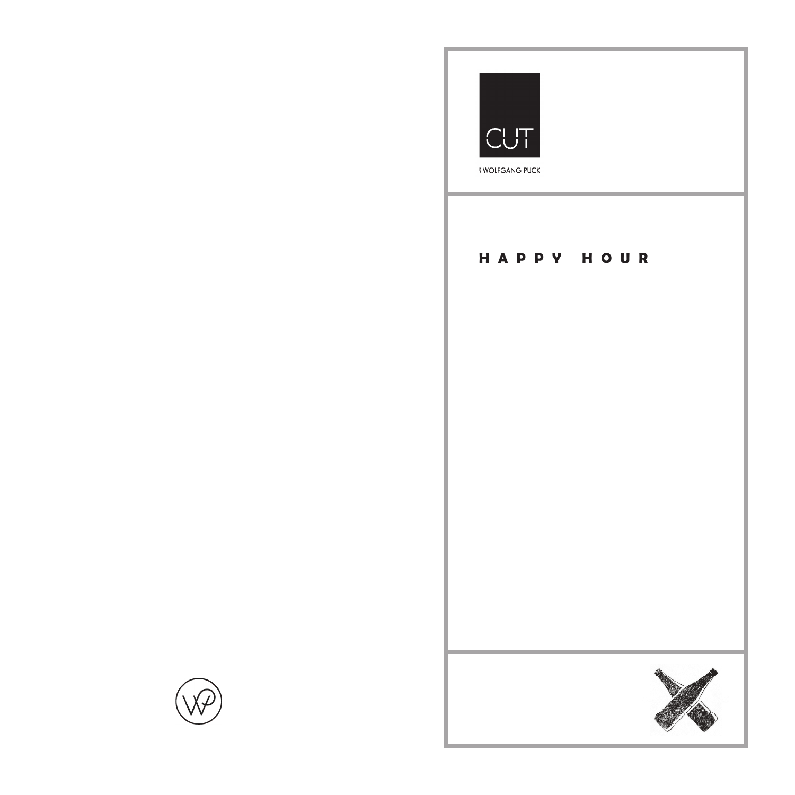